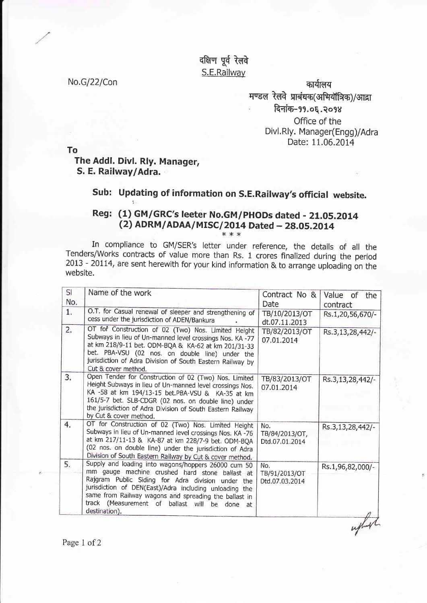दक्षिण पूर्व रेलवे S.E.Railway

No.G/22/Con कार्यालय कार्यालय कार्यालय कार्यालय कार्यालय कार्यालय मण्डल रेलवे प्राबंधक(अभियॉत्रिक)/आद्रा दिनांक-99.0६.२०98 Office of the Divl. Rly. Manager(Engg)/Adra Date: 11.06.2014

To The Addl. Divl. Rly. Manager, S. E. Railway/Adra. .

## Sub: Updating of information on S.E.Railway's official website.

## Reg: (1) GM/GRC's leeter No.GM/PHODs dated - 21.05.2014 (2) ADRM/ADAA/MISC/2014 Dated - 28.05.2014

In compliance to GM/SER's letter under reference, the details of all the Tenders/Works contracts of value more than Rs. 1 crores finalized during the period  $2013 - 20114$ , are sent herewith for your kind information & to arrange uploading on the website.

| Name of the work                                                                                                                                                                                                                                                                                                                  | Contract No &                                                             | Value of<br>the              |
|-----------------------------------------------------------------------------------------------------------------------------------------------------------------------------------------------------------------------------------------------------------------------------------------------------------------------------------|---------------------------------------------------------------------------|------------------------------|
| O.T. for Casual renewal of sleeper and strengthening of<br>cess under the jurisdiction of ADEN/Bankura                                                                                                                                                                                                                            | TB/10/2013/OT                                                             | contract<br>Rs.1,20,56,670/- |
| OT for Construction of 02 (Two) Nos. Limited Height<br>Subways in lieu of Un-manned level crossings Nos. KA -77<br>at km 218/9-11 bet. ODM-BQA & KA-62 at km 201/31-33<br>bet. PBA-VSU (02 nos. on double line) under the<br>jurisdiction of Adra Division of South Eastern Railway by<br>Cut & cover method.                     | TB/82/2013/OT<br>07.01.2014                                               | Rs.3,13,28,442/-             |
| Open Tender for Construction of 02 (Two) Nos. Limited<br>Height Subways in lieu of Un-manned level crossings Nos.<br>KA -58 at km 194/13-15 bet.PBA-VSU & KA-35 at km<br>161/5-7 bet. SLB-CDGR (02 nos. on double line) under<br>the jurisdiction of Adra Division of South Eastern Railway<br>by Cut & cover method.             | TB/83/2013/OT<br>07.01.2014                                               | Rs.3,13,28,442/-             |
| OT for Construction of 02 (Two) Nos. Limited Height<br>Subways in lieu of Un-manned level crossings Nos. KA -76<br>at km 217/11-13 & KA-87 at km 228/7-9 bet. ODM-BQA<br>(02 nos. on double line) under the jurisdiction of Adra                                                                                                  | No.<br>TB/84/2013/OT,<br>Dtd.07.01.2014                                   | Rs.3,13,28,442/-             |
| Supply and loading into wagons/hoppers 26000 cum 50<br>mm gauge machine crushed hard stone ballast at<br>Rajgram Public Siding for Adra division under the<br>jurisdiction of DEN(East)/Adra including unloading the<br>same from Railway wagons and spreading the ballast in<br>track (Measurement of ballast will be done<br>at | No.<br>TB/91/2013/OT<br>Dtd.07.03.2014                                    | Rs.1,96,82,000/-             |
|                                                                                                                                                                                                                                                                                                                                   | Division of South Eastern Railway by Cut & cover method.<br>destination). | Date<br>dt.07.11.2013        |

Page 1 of 2